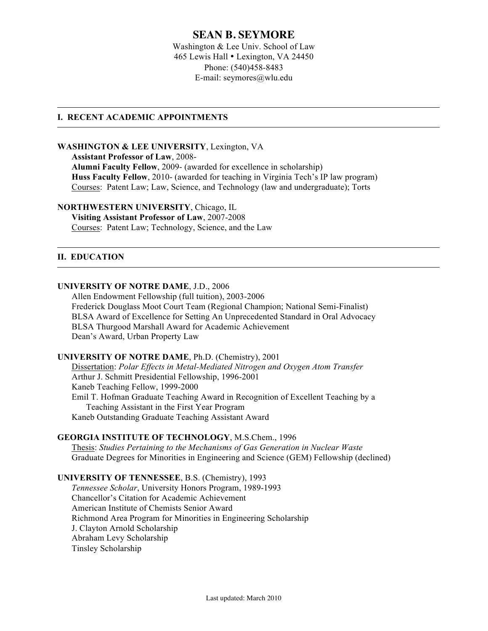# **SEAN B. SEYMORE**

Washington & Lee Univ. School of Law 465 Lewis Hall • Lexington, VA 24450 Phone: (540)458-8483 E-mail: seymores@wlu.edu

### **I. RECENT ACADEMIC APPOINTMENTS**

# **WASHINGTON & LEE UNIVERSITY**, Lexington, VA

**Assistant Professor of Law**, 2008-

**Alumni Faculty Fellow**, 2009- (awarded for excellence in scholarship) **Huss Faculty Fellow**, 2010- (awarded for teaching in Virginia Tech's IP law program) Courses: Patent Law; Law, Science, and Technology (law and undergraduate); Torts

## **NORTHWESTERN UNIVERSITY**, Chicago, IL

**Visiting Assistant Professor of Law**, 2007-2008 Courses: Patent Law; Technology, Science, and the Law

### **II. EDUCATION**

### **UNIVERSITY OF NOTRE DAME**, J.D., 2006

Allen Endowment Fellowship (full tuition), 2003-2006 Frederick Douglass Moot Court Team (Regional Champion; National Semi-Finalist) BLSA Award of Excellence for Setting An Unprecedented Standard in Oral Advocacy BLSA Thurgood Marshall Award for Academic Achievement Dean's Award, Urban Property Law

# **UNIVERSITY OF NOTRE DAME**, Ph.D. (Chemistry), 2001

Dissertation: *Polar Effects in Metal-Mediated Nitrogen and Oxygen Atom Transfer* Arthur J. Schmitt Presidential Fellowship, 1996-2001 Kaneb Teaching Fellow, 1999-2000 Emil T. Hofman Graduate Teaching Award in Recognition of Excellent Teaching by a Teaching Assistant in the First Year Program Kaneb Outstanding Graduate Teaching Assistant Award

#### **GEORGIA INSTITUTE OF TECHNOLOGY**, M.S.Chem., 1996

Thesis: *Studies Pertaining to the Mechanisms of Gas Generation in Nuclear Waste* Graduate Degrees for Minorities in Engineering and Science (GEM) Fellowship (declined)

#### **UNIVERSITY OF TENNESSEE**, B.S. (Chemistry), 1993

*Tennessee Scholar*, University Honors Program, 1989-1993 Chancellor's Citation for Academic Achievement American Institute of Chemists Senior Award Richmond Area Program for Minorities in Engineering Scholarship J. Clayton Arnold Scholarship Abraham Levy Scholarship Tinsley Scholarship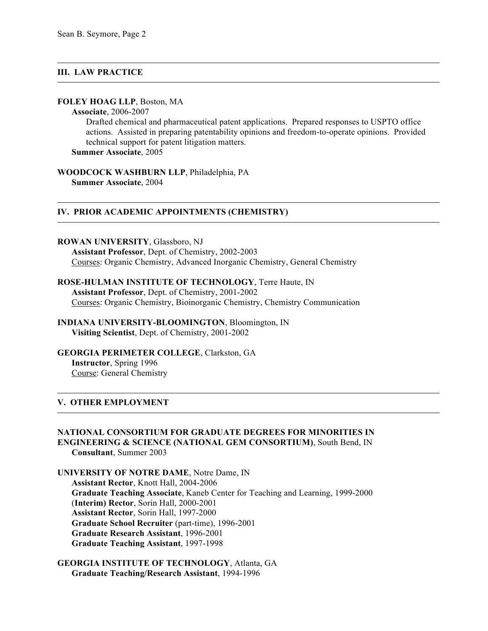## **III. LAW PRACTICE**

# **FOLEY HOAG LLP**, Boston, MA

**Associate**, 2006-2007

Drafted chemical and pharmaceutical patent applications. Prepared responses to USPTO office actions. Assisted in preparing patentability opinions and freedom-to-operate opinions. Provided technical support for patent litigation matters.

**Summer Associate**, 2005

**WOODCOCK WASHBURN LLP**, Philadelphia, PA **Summer Associate**, 2004

#### **IV. PRIOR ACADEMIC APPOINTMENTS (CHEMISTRY)**

#### **ROWAN UNIVERSITY**, Glassboro, NJ

**Assistant Professor**, Dept. of Chemistry, 2002-2003 Courses: Organic Chemistry, Advanced Inorganic Chemistry, General Chemistry

## **ROSE-HULMAN INSTITUTE OF TECHNOLOGY**, Terre Haute, IN

**Assistant Professor**, Dept. of Chemistry, 2001-2002 Courses: Organic Chemistry, Bioinorganic Chemistry, Chemistry Communication

### **INDIANA UNIVERSITY-BLOOMINGTON**, Bloomington, IN **Visiting Scientist**, Dept. of Chemistry, 2001-2002

# **GEORGIA PERIMETER COLLEGE**, Clarkston, GA

**Instructor**, Spring 1996 Course: General Chemistry

### **V. OTHER EMPLOYMENT**

#### **NATIONAL CONSORTIUM FOR GRADUATE DEGREES FOR MINORITIES IN ENGINEERING & SCIENCE (NATIONAL GEM CONSORTIUM)**, South Bend, IN **Consultant**, Summer 2003

**UNIVERSITY OF NOTRE DAME**, Notre Dame, IN **Assistant Rector**, Knott Hall, 2004-2006 **Graduate Teaching Associate**, Kaneb Center for Teaching and Learning, 1999-2000 (**Interim) Rector**, Sorin Hall, 2000-2001 **Assistant Rector**, Sorin Hall, 1997-2000 **Graduate School Recruiter** (part-time), 1996-2001 **Graduate Research Assistant**, 1996-2001 **Graduate Teaching Assistant**, 1997-1998

#### **GEORGIA INSTITUTE OF TECHNOLOGY**, Atlanta, GA **Graduate Teaching/Research Assistant**, 1994-1996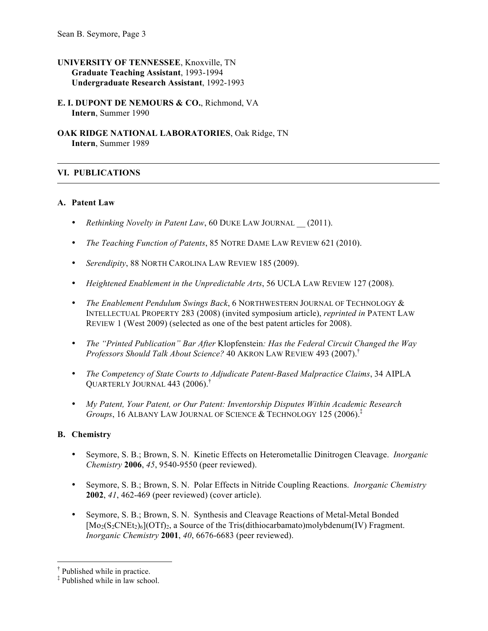- **UNIVERSITY OF TENNESSEE**, Knoxville, TN **Graduate Teaching Assistant**, 1993-1994 **Undergraduate Research Assistant**, 1992-1993
- **E. I. DUPONT DE NEMOURS & CO.**, Richmond, VA **Intern**, Summer 1990
- **OAK RIDGE NATIONAL LABORATORIES**, Oak Ridge, TN **Intern**, Summer 1989

# **VI. PUBLICATIONS**

# **A. Patent Law**

- *Rethinking Novelty in Patent Law*, 60 DUKE LAW JOURNAL (2011).
- *The Teaching Function of Patents*, 85 NOTRE DAME LAW REVIEW 621 (2010).
- *Serendipity*, 88 NORTH CAROLINA LAW REVIEW 185 (2009).
- *Heightened Enablement in the Unpredictable Arts*, 56 UCLA LAW REVIEW 127 (2008).
- *The Enablement Pendulum Swings Back*, 6 NORTHWESTERN JOURNAL OF TECHNOLOGY & INTELLECTUAL PROPERTY 283 (2008) (invited symposium article), *reprinted in* PATENT LAW REVIEW 1 (West 2009) (selected as one of the best patent articles for 2008).
- *The "Printed Publication" Bar After* Klopfenstein*: Has the Federal Circuit Changed the Way Professors Should Talk About Science?* 40 AKRON LAW REVIEW 493 (2007).†
- *The Competency of State Courts to Adjudicate Patent-Based Malpractice Claims*, 34 AIPLA QUARTERLY JOURNAL 443 (2006).†
- *My Patent, Your Patent, or Our Patent: Inventorship Disputes Within Academic Research Groups*, 16 ALBANY LAW JOURNAL OF SCIENCE & TECHNOLOGY 125 (2006).‡

# **B. Chemistry**

- Seymore, S. B.; Brown, S. N. Kinetic Effects on Heterometallic Dinitrogen Cleavage. *Inorganic Chemistry* **2006**, *45*, 9540-9550 (peer reviewed).
- Seymore, S. B.; Brown, S. N. Polar Effects in Nitride Coupling Reactions. *Inorganic Chemistry* **2002**, *41*, 462-469 (peer reviewed) (cover article).
- Seymore, S. B.; Brown, S. N. Synthesis and Cleavage Reactions of Metal-Metal Bonded  $[Mo_2(S_2CNEt_2)_6]$ (OTf)<sub>2</sub>, a Source of the Tris(dithiocarbamato)molybdenum(IV) Fragment. *Inorganic Chemistry* **2001**, *40*, 6676-6683 (peer reviewed).

† <sup>†</sup> Published while in practice.

<sup>‡</sup> Published while in law school.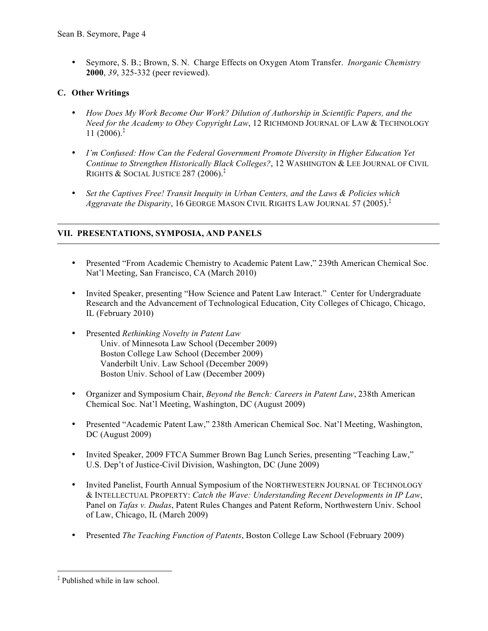• Seymore, S. B.; Brown, S. N. Charge Effects on Oxygen Atom Transfer. *Inorganic Chemistry* **2000**, *39*, 325-332 (peer reviewed).

# **C. Other Writings**

- *How Does My Work Become Our Work? Dilution of Authorship in Scientific Papers, and the Need for the Academy to Obey Copyright Law*, 12 RICHMOND JOURNAL OF LAW & TECHNOLOGY  $11 (2006)^{\frac{1}{3}}$
- *I'm Confused: How Can the Federal Government Promote Diversity in Higher Education Yet Continue to Strengthen Historically Black Colleges?*, 12 WASHINGTON & LEE JOURNAL OF CIVIL RIGHTS & SOCIAL JUSTICE 287 (2006).<sup>‡</sup>
- *Set the Captives Free! Transit Inequity in Urban Centers, and the Laws & Policies which Aggravate the Disparity*, 16 GEORGE MASON CIVIL RIGHTS LAW JOURNAL 57 (2005).‡

# **VII. PRESENTATIONS, SYMPOSIA, AND PANELS**

- Presented "From Academic Chemistry to Academic Patent Law," 239th American Chemical Soc. Nat'l Meeting, San Francisco, CA (March 2010)
- Invited Speaker, presenting "How Science and Patent Law Interact." Center for Undergraduate Research and the Advancement of Technological Education, City Colleges of Chicago, Chicago, IL (February 2010)
- Presented *Rethinking Novelty in Patent Law* Univ. of Minnesota Law School (December 2009) Boston College Law School (December 2009) Vanderbilt Univ. Law School (December 2009) Boston Univ. School of Law (December 2009)
- Organizer and Symposium Chair, *Beyond the Bench: Careers in Patent Law*, 238th American Chemical Soc. Nat'l Meeting, Washington, DC (August 2009)
- Presented "Academic Patent Law," 238th American Chemical Soc. Nat'l Meeting, Washington, DC (August 2009)
- Invited Speaker, 2009 FTCA Summer Brown Bag Lunch Series, presenting "Teaching Law," U.S. Dep't of Justice-Civil Division, Washington, DC (June 2009)
- Invited Panelist, Fourth Annual Symposium of the NORTHWESTERN JOURNAL OF TECHNOLOGY & INTELLECTUAL PROPERTY: *Catch the Wave: Understanding Recent Developments in IP Law*, Panel on *Tafas v. Dudas*, Patent Rules Changes and Patent Reform, Northwestern Univ. School of Law, Chicago, IL (March 2009)
- Presented *The Teaching Function of Patents*, Boston College Law School (February 2009)

‡ <sup>‡</sup> Published while in law school.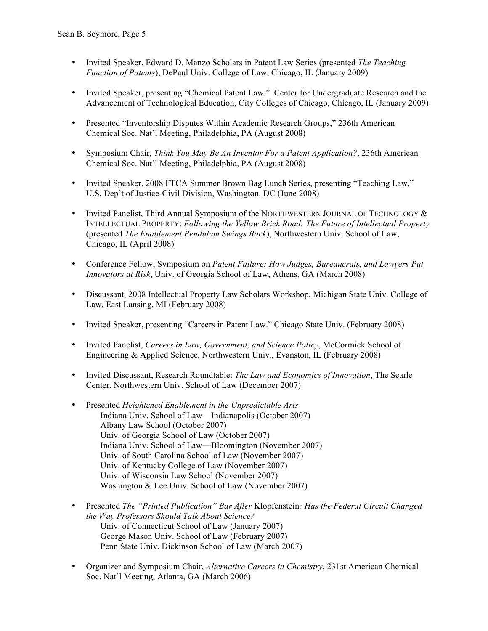- Invited Speaker, Edward D. Manzo Scholars in Patent Law Series (presented *The Teaching Function of Patents*), DePaul Univ. College of Law, Chicago, IL (January 2009)
- Invited Speaker, presenting "Chemical Patent Law." Center for Undergraduate Research and the Advancement of Technological Education, City Colleges of Chicago, Chicago, IL (January 2009)
- Presented "Inventorship Disputes Within Academic Research Groups," 236th American Chemical Soc. Nat'l Meeting, Philadelphia, PA (August 2008)
- Symposium Chair, *Think You May Be An Inventor For a Patent Application?*, 236th American Chemical Soc. Nat'l Meeting, Philadelphia, PA (August 2008)
- Invited Speaker, 2008 FTCA Summer Brown Bag Lunch Series, presenting "Teaching Law," U.S. Dep't of Justice-Civil Division, Washington, DC (June 2008)
- Invited Panelist, Third Annual Symposium of the NORTHWESTERN JOURNAL OF TECHNOLOGY  $&$ INTELLECTUAL PROPERTY: *Following the Yellow Brick Road: The Future of Intellectual Property* (presented *The Enablement Pendulum Swings Back*), Northwestern Univ. School of Law, Chicago, IL (April 2008)
- Conference Fellow, Symposium on *Patent Failure: How Judges, Bureaucrats, and Lawyers Put Innovators at Risk*, Univ. of Georgia School of Law, Athens, GA (March 2008)
- Discussant, 2008 Intellectual Property Law Scholars Workshop, Michigan State Univ. College of Law, East Lansing, MI (February 2008)
- Invited Speaker, presenting "Careers in Patent Law." Chicago State Univ. (February 2008)
- Invited Panelist, *Careers in Law, Government, and Science Policy*, McCormick School of Engineering & Applied Science, Northwestern Univ., Evanston, IL (February 2008)
- Invited Discussant, Research Roundtable: *The Law and Economics of Innovation*, The Searle Center, Northwestern Univ. School of Law (December 2007)
- Presented *Heightened Enablement in the Unpredictable Arts* Indiana Univ. School of Law—Indianapolis (October 2007) Albany Law School (October 2007) Univ. of Georgia School of Law (October 2007) Indiana Univ. School of Law—Bloomington (November 2007) Univ. of South Carolina School of Law (November 2007) Univ. of Kentucky College of Law (November 2007) Univ. of Wisconsin Law School (November 2007) Washington & Lee Univ. School of Law (November 2007)
- Presented *The "Printed Publication" Bar After* Klopfenstein*: Has the Federal Circuit Changed the Way Professors Should Talk About Science?* Univ. of Connecticut School of Law (January 2007) George Mason Univ. School of Law (February 2007) Penn State Univ. Dickinson School of Law (March 2007)
- Organizer and Symposium Chair, *Alternative Careers in Chemistry*, 231st American Chemical Soc. Nat'l Meeting, Atlanta, GA (March 2006)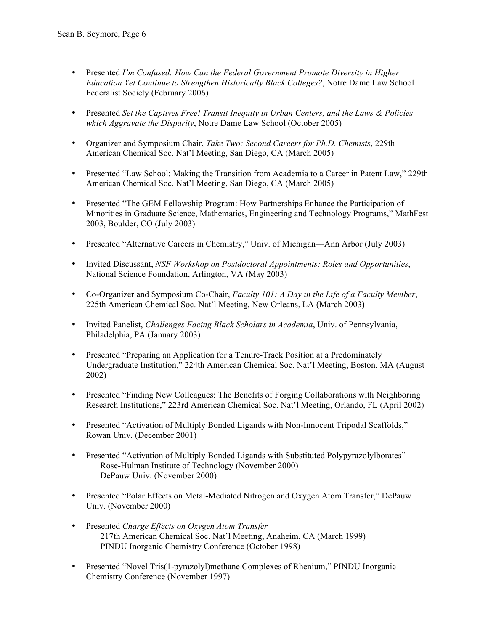- Presented *I'm Confused: How Can the Federal Government Promote Diversity in Higher Education Yet Continue to Strengthen Historically Black Colleges?*, Notre Dame Law School Federalist Society (February 2006)
- Presented *Set the Captives Free! Transit Inequity in Urban Centers, and the Laws & Policies which Aggravate the Disparity*, Notre Dame Law School (October 2005)
- Organizer and Symposium Chair, *Take Two: Second Careers for Ph.D. Chemists*, 229th American Chemical Soc. Nat'l Meeting, San Diego, CA (March 2005)
- Presented "Law School: Making the Transition from Academia to a Career in Patent Law," 229th American Chemical Soc. Nat'l Meeting, San Diego, CA (March 2005)
- Presented "The GEM Fellowship Program: How Partnerships Enhance the Participation of Minorities in Graduate Science, Mathematics, Engineering and Technology Programs," MathFest 2003, Boulder, CO (July 2003)
- Presented "Alternative Careers in Chemistry," Univ. of Michigan—Ann Arbor (July 2003)
- Invited Discussant, *NSF Workshop on Postdoctoral Appointments: Roles and Opportunities*, National Science Foundation, Arlington, VA (May 2003)
- Co-Organizer and Symposium Co-Chair, *Faculty 101: A Day in the Life of a Faculty Member*, 225th American Chemical Soc. Nat'l Meeting, New Orleans, LA (March 2003)
- Invited Panelist, *Challenges Facing Black Scholars in Academia*, Univ. of Pennsylvania, Philadelphia, PA (January 2003)
- Presented "Preparing an Application for a Tenure-Track Position at a Predominately Undergraduate Institution," 224th American Chemical Soc. Nat'l Meeting, Boston, MA (August 2002)
- Presented "Finding New Colleagues: The Benefits of Forging Collaborations with Neighboring Research Institutions," 223rd American Chemical Soc. Nat'l Meeting, Orlando, FL (April 2002)
- Presented "Activation of Multiply Bonded Ligands with Non-Innocent Tripodal Scaffolds," Rowan Univ. (December 2001)
- Presented "Activation of Multiply Bonded Ligands with Substituted Polypyrazolylborates" Rose-Hulman Institute of Technology (November 2000) DePauw Univ. (November 2000)
- Presented "Polar Effects on Metal-Mediated Nitrogen and Oxygen Atom Transfer," DePauw Univ. (November 2000)
- Presented *Charge Effects on Oxygen Atom Transfer* 217th American Chemical Soc. Nat'l Meeting, Anaheim, CA (March 1999) PINDU Inorganic Chemistry Conference (October 1998)
- Presented "Novel Tris(1-pyrazolyl)methane Complexes of Rhenium," PINDU Inorganic Chemistry Conference (November 1997)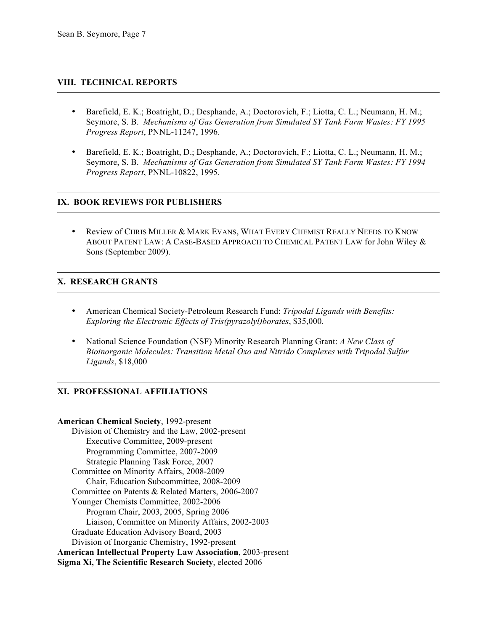# **VIII. TECHNICAL REPORTS**

- Barefield, E. K.; Boatright, D.; Desphande, A.; Doctorovich, F.; Liotta, C. L.; Neumann, H. M.; Seymore, S. B. *Mechanisms of Gas Generation from Simulated SY Tank Farm Wastes: FY 1995 Progress Report*, PNNL-11247, 1996.
- Barefield, E. K.; Boatright, D.; Desphande, A.; Doctorovich, F.; Liotta, C. L.; Neumann, H. M.; Seymore, S. B. *Mechanisms of Gas Generation from Simulated SY Tank Farm Wastes: FY 1994 Progress Report*, PNNL-10822, 1995.

# **IX. BOOK REVIEWS FOR PUBLISHERS**

• Review of CHRIS MILLER & MARK EVANS, WHAT EVERY CHEMIST REALLY NEEDS TO KNOW ABOUT PATENT LAW: A CASE-BASED APPROACH TO CHEMICAL PATENT LAW for John Wiley & Sons (September 2009).

# **X. RESEARCH GRANTS**

- American Chemical Society-Petroleum Research Fund: *Tripodal Ligands with Benefits: Exploring the Electronic Effects of Tris(pyrazolyl)borates*, \$35,000.
- National Science Foundation (NSF) Minority Research Planning Grant: *A New Class of Bioinorganic Molecules: Transition Metal Oxo and Nitrido Complexes with Tripodal Sulfur Ligands*, \$18,000

# **XI. PROFESSIONAL AFFILIATIONS**

| <b>American Chemical Society, 1992-present</b>                      |
|---------------------------------------------------------------------|
| Division of Chemistry and the Law, 2002-present                     |
| Executive Committee, 2009-present                                   |
| Programming Committee, 2007-2009                                    |
| Strategic Planning Task Force, 2007                                 |
| Committee on Minority Affairs, 2008-2009                            |
| Chair, Education Subcommittee, 2008-2009                            |
| Committee on Patents & Related Matters, 2006-2007                   |
| Younger Chemists Committee, 2002-2006                               |
| Program Chair, 2003, 2005, Spring 2006                              |
| Liaison, Committee on Minority Affairs, 2002-2003                   |
| Graduate Education Advisory Board, 2003                             |
| Division of Inorganic Chemistry, 1992-present                       |
| <b>American Intellectual Property Law Association, 2003-present</b> |
| Sigma Xi, The Scientific Research Society, elected 2006             |